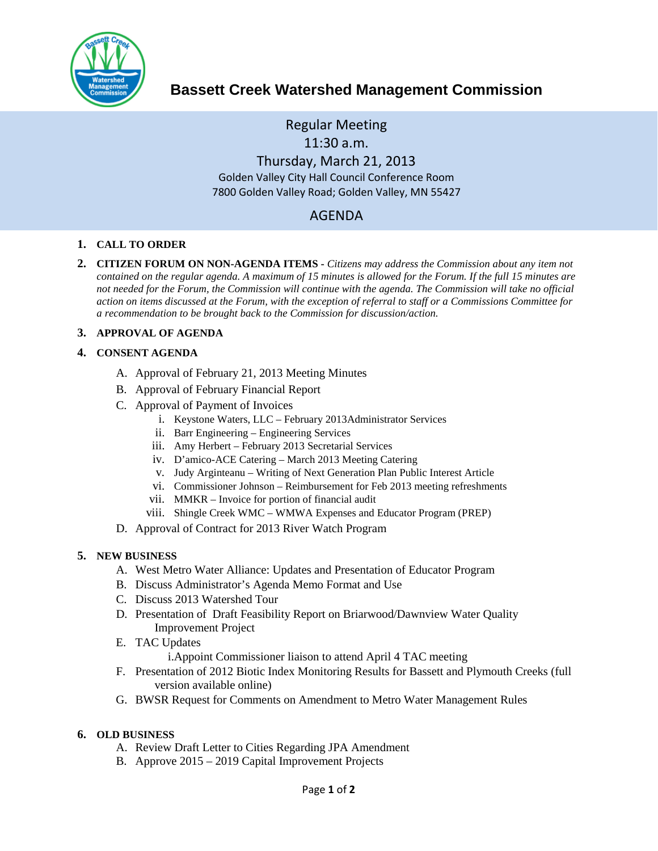

# **Bassett Creek Watershed Management Commission**

Regular Meeting 11:30 a.m. Thursday, March 21, 2013 Golden Valley City Hall Council Conference Room 7800 Golden Valley Road; Golden Valley, MN 55427

# AGENDA

#### **1. CALL TO ORDER**

**2. CITIZEN FORUM ON NON-AGENDA ITEMS -** *Citizens may address the Commission about any item not contained on the regular agenda. A maximum of 15 minutes is allowed for the Forum. If the full 15 minutes are*  not needed for the Forum, the Commission will continue with the agenda. The Commission will take no official *action on items discussed at the Forum, with the exception of referral to staff or a Commissions Committee for a recommendation to be brought back to the Commission for discussion/action.*

#### **3. APPROVAL OF AGENDA**

#### **4. CONSENT AGENDA**

- A. Approval of February 21, 2013 Meeting Minutes
- B. Approval of February Financial Report
- C. Approval of Payment of Invoices
	- i. Keystone Waters, LLC February 2013Administrator Services
	- ii. Barr Engineering Engineering Services
	- iii. Amy Herbert February 2013 Secretarial Services
	- iv. D'amico-ACE Catering March 2013 Meeting Catering
	- v. Judy Arginteanu Writing of Next Generation Plan Public Interest Article
	- vi. Commissioner Johnson Reimbursement for Feb 2013 meeting refreshments
	- vii. MMKR Invoice for portion of financial audit
	- viii. Shingle Creek WMC WMWA Expenses and Educator Program (PREP)
- D. Approval of Contract for 2013 River Watch Program

## **5. NEW BUSINESS**

- A. West Metro Water Alliance: Updates and Presentation of Educator Program
- B. Discuss Administrator's Agenda Memo Format and Use
- C. Discuss 2013 Watershed Tour
- D. Presentation of Draft Feasibility Report on Briarwood/Dawnview Water Quality Improvement Project
- E. TAC Updates

i.Appoint Commissioner liaison to attend April 4 TAC meeting

- F. Presentation of 2012 Biotic Index Monitoring Results for Bassett and Plymouth Creeks (full version available online)
- G. BWSR Request for Comments on Amendment to Metro Water Management Rules

## **6. OLD BUSINESS**

- A. Review Draft Letter to Cities Regarding JPA Amendment
- B. Approve 2015 2019 Capital Improvement Projects